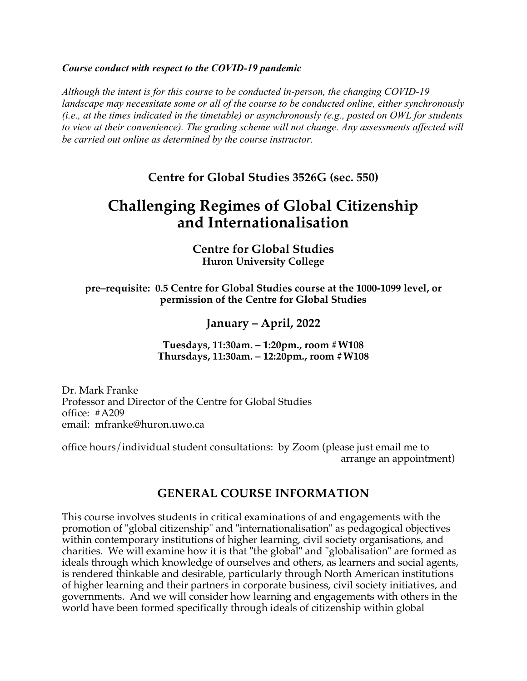### *Course conduct with respect to the COVID-19 pandemic*

*Although the intent is for this course to be conducted in-person, the changing COVID-19 landscape may necessitate some or all of the course to be conducted online, either synchronously (i.e., at the times indicated in the timetable) or asynchronously (e.g., posted on OWL for students to view at their convenience). The grading scheme will not change. Any assessments affected will be carried out online as determined by the course instructor.*

**Centre for Global Studies 3526G (sec. 550)**

# **Challenging Regimes of Global Citizenship and Internationalisation**

**Centre for Global Studies Huron University College**

**pre–requisite: 0.5 Centre for Global Studies course at the 1000-1099 level, or permission of the Centre for Global Studies**

# **January – April, 2022**

**Tuesdays, 11:30am. – 1:20pm., room #W108 Thursdays, 11:30am. – 12:20pm., room #W108**

Dr. Mark Franke Professor and Director of the Centre for Global Studies office: #A209 email: mfranke@huron.uwo.ca

office hours/individual student consultations: by Zoom (please just email me to arrange an appointment)

# **GENERAL COURSE INFORMATION**

This course involves students in critical examinations of and engagements with the promotion of "global citizenship" and "internationalisation" as pedagogical objectives within contemporary institutions of higher learning, civil society organisations, and charities. We will examine how it is that "the global" and "globalisation" are formed as ideals through which knowledge of ourselves and others, as learners and social agents, is rendered thinkable and desirable, particularly through North American institutions of higher learning and their partners in corporate business, civil society initiatives, and governments. And we will consider how learning and engagements with others in the world have been formed specifically through ideals of citizenship within global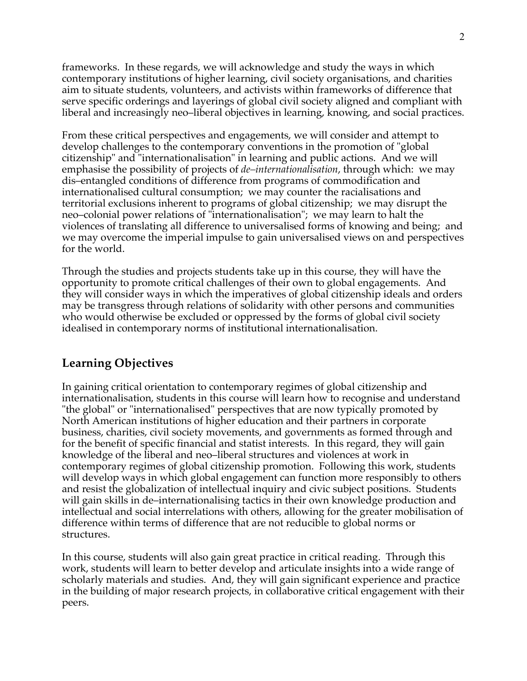frameworks. In these regards, we will acknowledge and study the ways in which contemporary institutions of higher learning, civil society organisations, and charities aim to situate students, volunteers, and activists within frameworks of difference that serve specific orderings and layerings of global civil society aligned and compliant with liberal and increasingly neo–liberal objectives in learning, knowing, and social practices.

From these critical perspectives and engagements, we will consider and attempt to develop challenges to the contemporary conventions in the promotion of "global citizenship" and "internationalisation" in learning and public actions. And we will emphasise the possibility of projects of *de–internationalisation*, through which: we may dis–entangled conditions of difference from programs of commodification and internationalised cultural consumption; we may counter the racialisations and territorial exclusions inherent to programs of global citizenship; we may disrupt the neo–colonial power relations of "internationalisation"; we may learn to halt the violences of translating all difference to universalised forms of knowing and being; and we may overcome the imperial impulse to gain universalised views on and perspectives for the world.

Through the studies and projects students take up in this course, they will have the opportunity to promote critical challenges of their own to global engagements. And they will consider ways in which the imperatives of global citizenship ideals and orders may be transgress through relations of solidarity with other persons and communities who would otherwise be excluded or oppressed by the forms of global civil society idealised in contemporary norms of institutional internationalisation.

# **Learning Objectives**

In gaining critical orientation to contemporary regimes of global citizenship and internationalisation, students in this course will learn how to recognise and understand "the global" or "internationalised" perspectives that are now typically promoted by North American institutions of higher education and their partners in corporate business, charities, civil society movements, and governments as formed through and for the benefit of specific financial and statist interests. In this regard, they will gain knowledge of the liberal and neo–liberal structures and violences at work in contemporary regimes of global citizenship promotion. Following this work, students will develop ways in which global engagement can function more responsibly to others and resist the globalization of intellectual inquiry and civic subject positions. Students will gain skills in de–internationalising tactics in their own knowledge production and intellectual and social interrelations with others, allowing for the greater mobilisation of difference within terms of difference that are not reducible to global norms or structures.

In this course, students will also gain great practice in critical reading. Through this work, students will learn to better develop and articulate insights into a wide range of scholarly materials and studies. And, they will gain significant experience and practice in the building of major research projects, in collaborative critical engagement with their peers.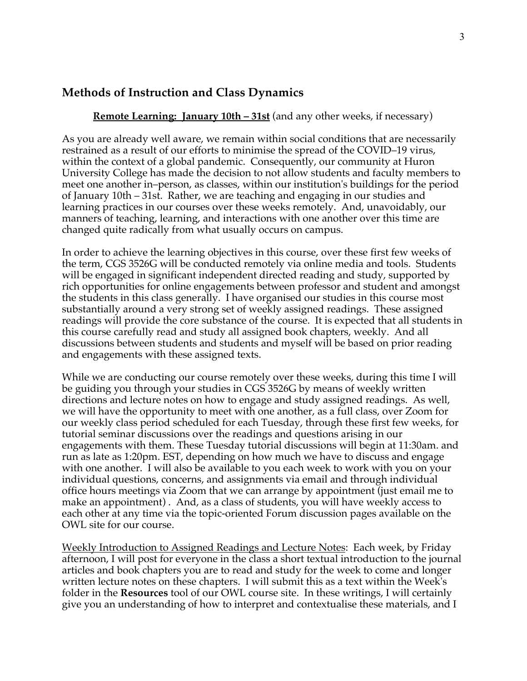# **Methods of Instruction and Class Dynamics**

### **Remote Learning: January 10th – 31st** (and any other weeks, if necessary)

As you are already well aware, we remain within social conditions that are necessarily restrained as a result of our efforts to minimise the spread of the COVID–19 virus, within the context of a global pandemic. Consequently, our community at Huron University College has made the decision to not allow students and faculty members to meet one another in–person, as classes, within our institution's buildings for the period of January 10th – 31st. Rather, we are teaching and engaging in our studies and learning practices in our courses over these weeks remotely. And, unavoidably, our manners of teaching, learning, and interactions with one another over this time are changed quite radically from what usually occurs on campus.

In order to achieve the learning objectives in this course, over these first few weeks of the term, CGS 3526G will be conducted remotely via online media and tools. Students will be engaged in significant independent directed reading and study, supported by rich opportunities for online engagements between professor and student and amongst the students in this class generally. I have organised our studies in this course most substantially around a very strong set of weekly assigned readings. These assigned readings will provide the core substance of the course. It is expected that all students in this course carefully read and study all assigned book chapters, weekly. And all discussions between students and students and myself will be based on prior reading and engagements with these assigned texts.

While we are conducting our course remotely over these weeks, during this time I will be guiding you through your studies in CGS 3526G by means of weekly written directions and lecture notes on how to engage and study assigned readings. As well, we will have the opportunity to meet with one another, as a full class, over Zoom for our weekly class period scheduled for each Tuesday, through these first few weeks, for tutorial seminar discussions over the readings and questions arising in our engagements with them. These Tuesday tutorial discussions will begin at 11:30am. and run as late as 1:20pm. EST, depending on how much we have to discuss and engage with one another. I will also be available to you each week to work with you on your individual questions, concerns, and assignments via email and through individual office hours meetings via Zoom that we can arrange by appointment (just email me to make an appointment) . And, as a class of students, you will have weekly access to each other at any time via the topic-oriented Forum discussion pages available on the OWL site for our course.

Weekly Introduction to Assigned Readings and Lecture Notes: Each week, by Friday afternoon, I will post for everyone in the class a short textual introduction to the journal articles and book chapters you are to read and study for the week to come and longer written lecture notes on these chapters. I will submit this as a text within the Week's folder in the **Resources** tool of our OWL course site. In these writings, I will certainly give you an understanding of how to interpret and contextualise these materials, and I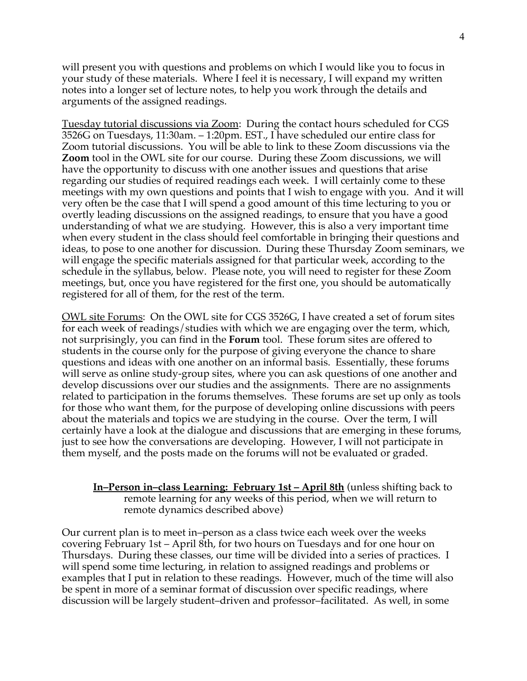will present you with questions and problems on which I would like you to focus in your study of these materials. Where I feel it is necessary, I will expand my written notes into a longer set of lecture notes, to help you work through the details and arguments of the assigned readings.

Tuesday tutorial discussions via Zoom: During the contact hours scheduled for CGS 3526G on Tuesdays, 11:30am. – 1:20pm. EST., I have scheduled our entire class for Zoom tutorial discussions. You will be able to link to these Zoom discussions via the **Zoom** tool in the OWL site for our course. During these Zoom discussions, we will have the opportunity to discuss with one another issues and questions that arise regarding our studies of required readings each week. I will certainly come to these meetings with my own questions and points that I wish to engage with you. And it will very often be the case that I will spend a good amount of this time lecturing to you or overtly leading discussions on the assigned readings, to ensure that you have a good understanding of what we are studying. However, this is also a very important time when every student in the class should feel comfortable in bringing their questions and ideas, to pose to one another for discussion. During these Thursday Zoom seminars, we will engage the specific materials assigned for that particular week, according to the schedule in the syllabus, below. Please note, you will need to register for these Zoom meetings, but, once you have registered for the first one, you should be automatically registered for all of them, for the rest of the term.

OWL site Forums: On the OWL site for CGS 3526G, I have created a set of forum sites for each week of readings/studies with which we are engaging over the term, which, not surprisingly, you can find in the **Forum** tool. These forum sites are offered to students in the course only for the purpose of giving everyone the chance to share questions and ideas with one another on an informal basis. Essentially, these forums will serve as online study-group sites, where you can ask questions of one another and develop discussions over our studies and the assignments. There are no assignments related to participation in the forums themselves. These forums are set up only as tools for those who want them, for the purpose of developing online discussions with peers about the materials and topics we are studying in the course. Over the term, I will certainly have a look at the dialogue and discussions that are emerging in these forums, just to see how the conversations are developing. However, I will not participate in them myself, and the posts made on the forums will not be evaluated or graded.

**In–Person in–class Learning: February 1st – April 8th** (unless shifting back to remote learning for any weeks of this period, when we will return to remote dynamics described above)

Our current plan is to meet in–person as a class twice each week over the weeks covering February 1st – April 8th, for two hours on Tuesdays and for one hour on Thursdays. During these classes, our time will be divided into a series of practices. I will spend some time lecturing, in relation to assigned readings and problems or examples that I put in relation to these readings. However, much of the time will also be spent in more of a seminar format of discussion over specific readings, where discussion will be largely student–driven and professor–facilitated. As well, in some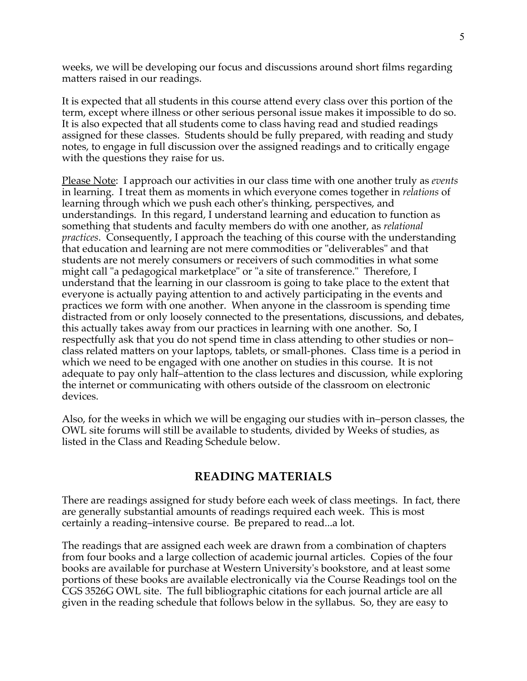weeks, we will be developing our focus and discussions around short films regarding matters raised in our readings.

It is expected that all students in this course attend every class over this portion of the term, except where illness or other serious personal issue makes it impossible to do so. It is also expected that all students come to class having read and studied readings assigned for these classes. Students should be fully prepared, with reading and study notes, to engage in full discussion over the assigned readings and to critically engage with the questions they raise for us.

Please Note: I approach our activities in our class time with one another truly as *events* in learning. I treat them as moments in which everyone comes together in *relations* of learning through which we push each other's thinking, perspectives, and understandings. In this regard, I understand learning and education to function as something that students and faculty members do with one another, as *relational practices*. Consequently, I approach the teaching of this course with the understanding that education and learning are not mere commodities or "deliverables" and that students are not merely consumers or receivers of such commodities in what some might call "a pedagogical marketplace" or "a site of transference." Therefore, I understand that the learning in our classroom is going to take place to the extent that everyone is actually paying attention to and actively participating in the events and practices we form with one another. When anyone in the classroom is spending time distracted from or only loosely connected to the presentations, discussions, and debates, this actually takes away from our practices in learning with one another. So, I respectfully ask that you do not spend time in class attending to other studies or non– class related matters on your laptops, tablets, or small-phones. Class time is a period in which we need to be engaged with one another on studies in this course. It is not adequate to pay only half–attention to the class lectures and discussion, while exploring the internet or communicating with others outside of the classroom on electronic devices.

Also, for the weeks in which we will be engaging our studies with in–person classes, the OWL site forums will still be available to students, divided by Weeks of studies, as listed in the Class and Reading Schedule below.

# **READING MATERIALS**

There are readings assigned for study before each week of class meetings. In fact, there are generally substantial amounts of readings required each week. This is most certainly a reading–intensive course. Be prepared to read...a lot.

The readings that are assigned each week are drawn from a combination of chapters from four books and a large collection of academic journal articles. Copies of the four books are available for purchase at Western University's bookstore, and at least some portions of these books are available electronically via the Course Readings tool on the CGS 3526G OWL site. The full bibliographic citations for each journal article are all given in the reading schedule that follows below in the syllabus. So, they are easy to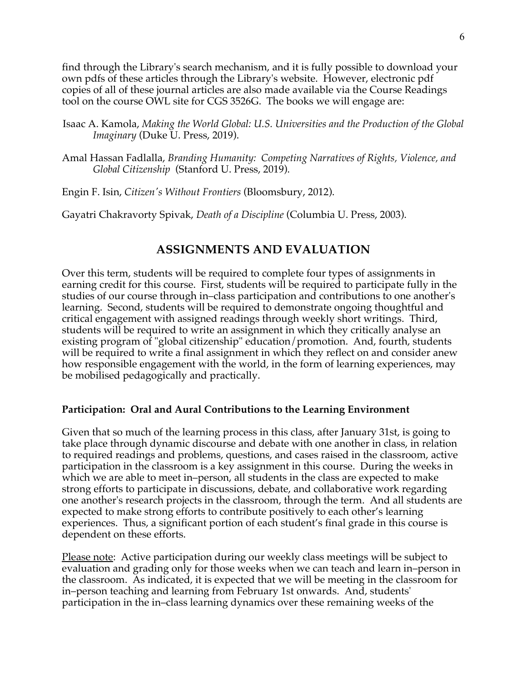find through the Library's search mechanism, and it is fully possible to download your own pdfs of these articles through the Library's website. However, electronic pdf copies of all of these journal articles are also made available via the Course Readings tool on the course OWL site for CGS 3526G. The books we will engage are:

- Isaac A. Kamola, *Making the World Global: U.S. Universities and the Production of the Global Imaginary* (Duke U. Press, 2019).
- Amal Hassan Fadlalla, *Branding Humanity: Competing Narratives of Rights, Violence, and Global Citizenship* (Stanford U. Press, 2019).

Engin F. Isin, *Citizen's Without Frontiers* (Bloomsbury, 2012).

Gayatri Chakravorty Spivak, *Death of a Discipline* (Columbia U. Press, 2003).

# **ASSIGNMENTS AND EVALUATION**

Over this term, students will be required to complete four types of assignments in earning credit for this course. First, students will be required to participate fully in the studies of our course through in–class participation and contributions to one another's learning. Second, students will be required to demonstrate ongoing thoughtful and critical engagement with assigned readings through weekly short writings. Third, students will be required to write an assignment in which they critically analyse an existing program of "global citizenship" education/promotion. And, fourth, students will be required to write a final assignment in which they reflect on and consider anew how responsible engagement with the world, in the form of learning experiences, may be mobilised pedagogically and practically.

# **Participation: Oral and Aural Contributions to the Learning Environment**

Given that so much of the learning process in this class, after January 31st, is going to take place through dynamic discourse and debate with one another in class, in relation to required readings and problems, questions, and cases raised in the classroom, active participation in the classroom is a key assignment in this course. During the weeks in which we are able to meet in–person, all students in the class are expected to make strong efforts to participate in discussions, debate, and collaborative work regarding one another's research projects in the classroom, through the term. And all students are expected to make strong efforts to contribute positively to each other's learning experiences. Thus, a significant portion of each student's final grade in this course is dependent on these efforts.

Please note: Active participation during our weekly class meetings will be subject to evaluation and grading only for those weeks when we can teach and learn in–person in the classroom. As indicated, it is expected that we will be meeting in the classroom for in–person teaching and learning from February 1st onwards. And, students' participation in the in–class learning dynamics over these remaining weeks of the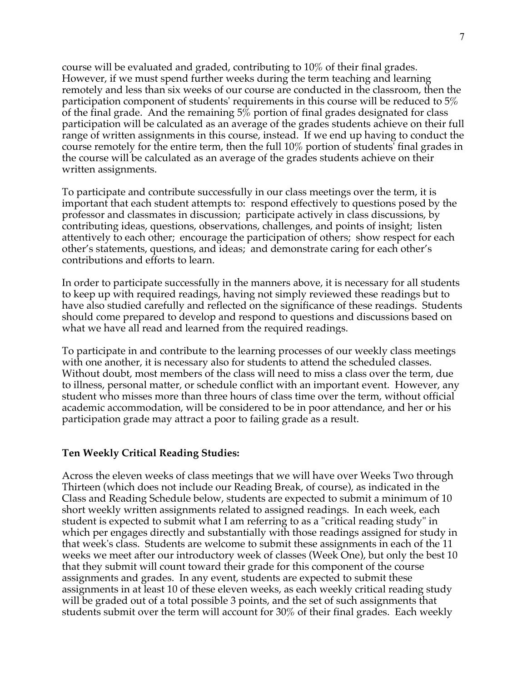course will be evaluated and graded, contributing to 10% of their final grades. However, if we must spend further weeks during the term teaching and learning remotely and less than six weeks of our course are conducted in the classroom, then the participation component of students' requirements in this course will be reduced to 5% of the final grade. And the remaining 5% portion of final grades designated for class participation will be calculated as an average of the grades students achieve on their full range of written assignments in this course, instead. If we end up having to conduct the course remotely for the entire term, then the full 10% portion of students' final grades in the course will be calculated as an average of the grades students achieve on their written assignments.

To participate and contribute successfully in our class meetings over the term, it is important that each student attempts to: respond effectively to questions posed by the professor and classmates in discussion; participate actively in class discussions, by contributing ideas, questions, observations, challenges, and points of insight; listen attentively to each other; encourage the participation of others; show respect for each other's statements, questions, and ideas; and demonstrate caring for each other's contributions and efforts to learn.

In order to participate successfully in the manners above, it is necessary for all students to keep up with required readings, having not simply reviewed these readings but to have also studied carefully and reflected on the significance of these readings. Students should come prepared to develop and respond to questions and discussions based on what we have all read and learned from the required readings.

To participate in and contribute to the learning processes of our weekly class meetings with one another, it is necessary also for students to attend the scheduled classes. Without doubt, most members of the class will need to miss a class over the term, due to illness, personal matter, or schedule conflict with an important event. However, any student who misses more than three hours of class time over the term, without official academic accommodation, will be considered to be in poor attendance, and her or his participation grade may attract a poor to failing grade as a result.

### **Ten Weekly Critical Reading Studies:**

Across the eleven weeks of class meetings that we will have over Weeks Two through Thirteen (which does not include our Reading Break, of course), as indicated in the Class and Reading Schedule below, students are expected to submit a minimum of 10 short weekly written assignments related to assigned readings. In each week, each student is expected to submit what I am referring to as a "critical reading study" in which per engages directly and substantially with those readings assigned for study in that week's class. Students are welcome to submit these assignments in each of the 11 weeks we meet after our introductory week of classes (Week One), but only the best 10 that they submit will count toward their grade for this component of the course assignments and grades. In any event, students are expected to submit these assignments in at least 10 of these eleven weeks, as each weekly critical reading study will be graded out of a total possible 3 points, and the set of such assignments that students submit over the term will account for 30% of their final grades. Each weekly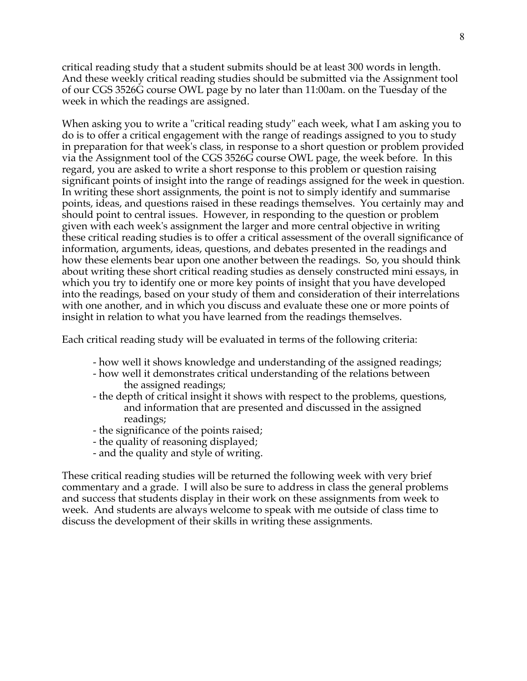critical reading study that a student submits should be at least 300 words in length. And these weekly critical reading studies should be submitted via the Assignment tool of our CGS 3526G course OWL page by no later than 11:00am. on the Tuesday of the week in which the readings are assigned.

When asking you to write a "critical reading study" each week, what I am asking you to do is to offer a critical engagement with the range of readings assigned to you to study in preparation for that week's class, in response to a short question or problem provided via the Assignment tool of the CGS 3526G course OWL page, the week before. In this regard, you are asked to write a short response to this problem or question raising significant points of insight into the range of readings assigned for the week in question. In writing these short assignments, the point is not to simply identify and summarise points, ideas, and questions raised in these readings themselves. You certainly may and should point to central issues. However, in responding to the question or problem given with each week's assignment the larger and more central objective in writing these critical reading studies is to offer a critical assessment of the overall significance of information, arguments, ideas, questions, and debates presented in the readings and how these elements bear upon one another between the readings. So, you should think about writing these short critical reading studies as densely constructed mini essays, in which you try to identify one or more key points of insight that you have developed into the readings, based on your study of them and consideration of their interrelations with one another, and in which you discuss and evaluate these one or more points of insight in relation to what you have learned from the readings themselves.

Each critical reading study will be evaluated in terms of the following criteria:

- how well it shows knowledge and understanding of the assigned readings;
- how well it demonstrates critical understanding of the relations between the assigned readings;
- the depth of critical insight it shows with respect to the problems, questions, and information that are presented and discussed in the assigned readings;
- the significance of the points raised;
- the quality of reasoning displayed;
- and the quality and style of writing.

These critical reading studies will be returned the following week with very brief commentary and a grade. I will also be sure to address in class the general problems and success that students display in their work on these assignments from week to week. And students are always welcome to speak with me outside of class time to discuss the development of their skills in writing these assignments.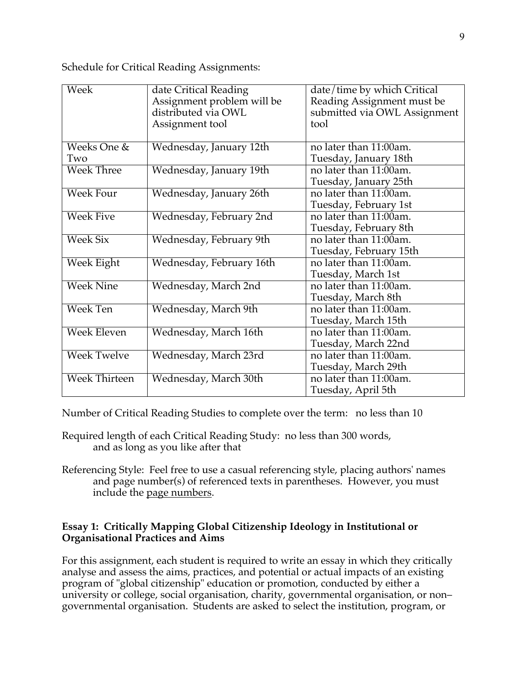Schedule for Critical Reading Assignments:

| Week                 | date Critical Reading      | date/time by which Critical  |
|----------------------|----------------------------|------------------------------|
|                      | Assignment problem will be | Reading Assignment must be   |
|                      | distributed via OWL        | submitted via OWL Assignment |
|                      | Assignment tool            | tool                         |
|                      |                            |                              |
| Weeks One &          | Wednesday, January 12th    | no later than 11:00am.       |
| Two                  |                            | Tuesday, January 18th        |
| <b>Week Three</b>    | Wednesday, January 19th    | no later than 11:00am.       |
|                      |                            | Tuesday, January 25th        |
| <b>Week Four</b>     | Wednesday, January 26th    | no later than 11:00am.       |
|                      |                            | Tuesday, February 1st        |
| <b>Week Five</b>     | Wednesday, February 2nd    | no later than 11:00am.       |
|                      |                            | Tuesday, February 8th        |
| <b>Week Six</b>      | Wednesday, February 9th    | no later than 11:00am.       |
|                      |                            | Tuesday, February 15th       |
| <b>Week Eight</b>    | Wednesday, February 16th   | no later than 11:00am.       |
|                      |                            | Tuesday, March 1st           |
| <b>Week Nine</b>     | Wednesday, March 2nd       | no later than 11:00am.       |
|                      |                            | Tuesday, March 8th           |
| Week Ten             | Wednesday, March 9th       | no later than 11:00am.       |
|                      |                            | Tuesday, March 15th          |
| <b>Week Eleven</b>   | Wednesday, March 16th      | no later than 11:00am.       |
|                      |                            | Tuesday, March 22nd          |
| <b>Week Twelve</b>   | Wednesday, March 23rd      | no later than 11:00am.       |
|                      |                            | Tuesday, March 29th          |
| <b>Week Thirteen</b> | Wednesday, March 30th      | no later than 11:00am.       |
|                      |                            | Tuesday, April 5th           |

Number of Critical Reading Studies to complete over the term: no less than 10

- Required length of each Critical Reading Study: no less than 300 words, and as long as you like after that
- Referencing Style: Feel free to use a casual referencing style, placing authors' names and page number(s) of referenced texts in parentheses. However, you must include the page numbers.

# **Essay 1: Critically Mapping Global Citizenship Ideology in Institutional or Organisational Practices and Aims**

For this assignment, each student is required to write an essay in which they critically analyse and assess the aims, practices, and potential or actual impacts of an existing program of "global citizenship" education or promotion, conducted by either a university or college, social organisation, charity, governmental organisation, or non– governmental organisation. Students are asked to select the institution, program, or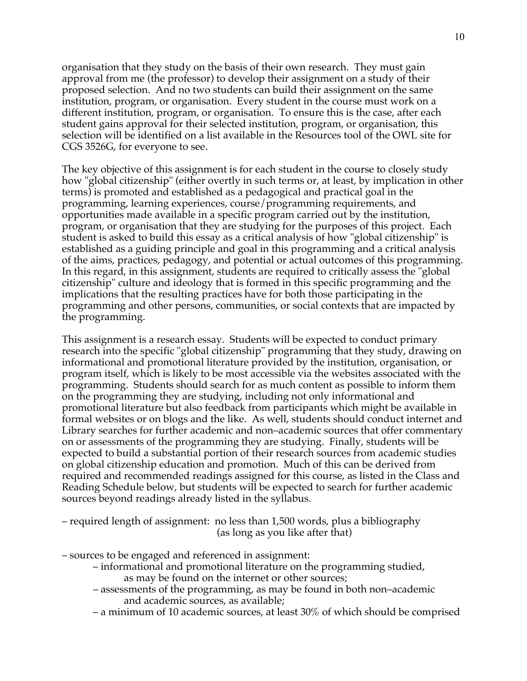organisation that they study on the basis of their own research. They must gain approval from me (the professor) to develop their assignment on a study of their proposed selection. And no two students can build their assignment on the same institution, program, or organisation. Every student in the course must work on a different institution, program, or organisation. To ensure this is the case, after each student gains approval for their selected institution, program, or organisation, this selection will be identified on a list available in the Resources tool of the OWL site for CGS 3526G, for everyone to see.

The key objective of this assignment is for each student in the course to closely study how "global citizenship" (either overtly in such terms or, at least, by implication in other terms) is promoted and established as a pedagogical and practical goal in the programming, learning experiences, course/programming requirements, and opportunities made available in a specific program carried out by the institution, program, or organisation that they are studying for the purposes of this project. Each student is asked to build this essay as a critical analysis of how "global citizenship" is established as a guiding principle and goal in this programming and a critical analysis of the aims, practices, pedagogy, and potential or actual outcomes of this programming. In this regard, in this assignment, students are required to critically assess the "global citizenship" culture and ideology that is formed in this specific programming and the implications that the resulting practices have for both those participating in the programming and other persons, communities, or social contexts that are impacted by the programming.

This assignment is a research essay. Students will be expected to conduct primary research into the specific "global citizenship" programming that they study, drawing on informational and promotional literature provided by the institution, organisation, or program itself, which is likely to be most accessible via the websites associated with the programming. Students should search for as much content as possible to inform them on the programming they are studying, including not only informational and promotional literature but also feedback from participants which might be available in formal websites or on blogs and the like. As well, students should conduct internet and Library searches for further academic and non–academic sources that offer commentary on or assessments of the programming they are studying. Finally, students will be expected to build a substantial portion of their research sources from academic studies on global citizenship education and promotion. Much of this can be derived from required and recommended readings assigned for this course, as listed in the Class and Reading Schedule below, but students will be expected to search for further academic sources beyond readings already listed in the syllabus.

– required length of assignment: no less than 1,500 words, plus a bibliography (as long as you like after that)

- sources to be engaged and referenced in assignment:
	- informational and promotional literature on the programming studied, as may be found on the internet or other sources;
	- assessments of the programming, as may be found in both non–academic and academic sources, as available;
	- a minimum of 10 academic sources, at least 30% of which should be comprised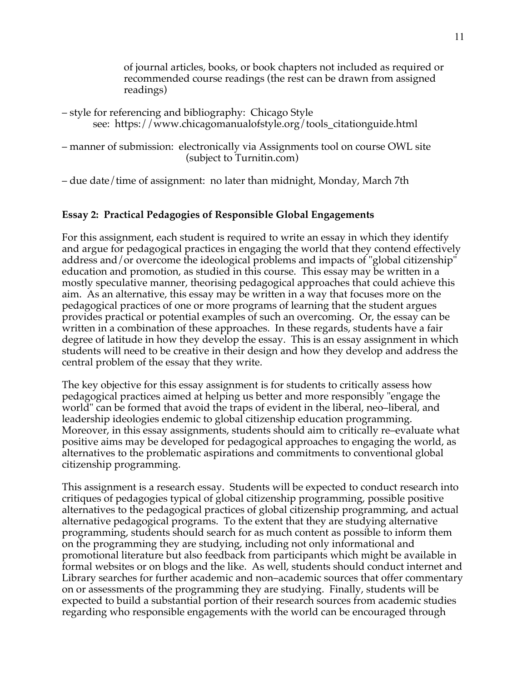of journal articles, books, or book chapters not included as required or recommended course readings (the rest can be drawn from assigned readings)

- style for referencing and bibliography: Chicago Style see: https://www.chicagomanualofstyle.org/tools\_citationguide.html
- manner of submission: electronically via Assignments tool on course OWL site (subject to Turnitin.com)

– due date/time of assignment: no later than midnight, Monday, March 7th

# **Essay 2: Practical Pedagogies of Responsible Global Engagements**

For this assignment, each student is required to write an essay in which they identify and argue for pedagogical practices in engaging the world that they contend effectively address and/or overcome the ideological problems and impacts of "global citizenship" education and promotion, as studied in this course. This essay may be written in a mostly speculative manner, theorising pedagogical approaches that could achieve this aim. As an alternative, this essay may be written in a way that focuses more on the pedagogical practices of one or more programs of learning that the student argues provides practical or potential examples of such an overcoming. Or, the essay can be written in a combination of these approaches. In these regards, students have a fair degree of latitude in how they develop the essay. This is an essay assignment in which students will need to be creative in their design and how they develop and address the central problem of the essay that they write.

The key objective for this essay assignment is for students to critically assess how pedagogical practices aimed at helping us better and more responsibly "engage the world" can be formed that avoid the traps of evident in the liberal, neo–liberal, and leadership ideologies endemic to global citizenship education programming. Moreover, in this essay assignments, students should aim to critically re–evaluate what positive aims may be developed for pedagogical approaches to engaging the world, as alternatives to the problematic aspirations and commitments to conventional global citizenship programming.

This assignment is a research essay. Students will be expected to conduct research into critiques of pedagogies typical of global citizenship programming, possible positive alternatives to the pedagogical practices of global citizenship programming, and actual alternative pedagogical programs. To the extent that they are studying alternative programming, students should search for as much content as possible to inform them on the programming they are studying, including not only informational and promotional literature but also feedback from participants which might be available in formal websites or on blogs and the like. As well, students should conduct internet and Library searches for further academic and non–academic sources that offer commentary on or assessments of the programming they are studying. Finally, students will be expected to build a substantial portion of their research sources from academic studies regarding who responsible engagements with the world can be encouraged through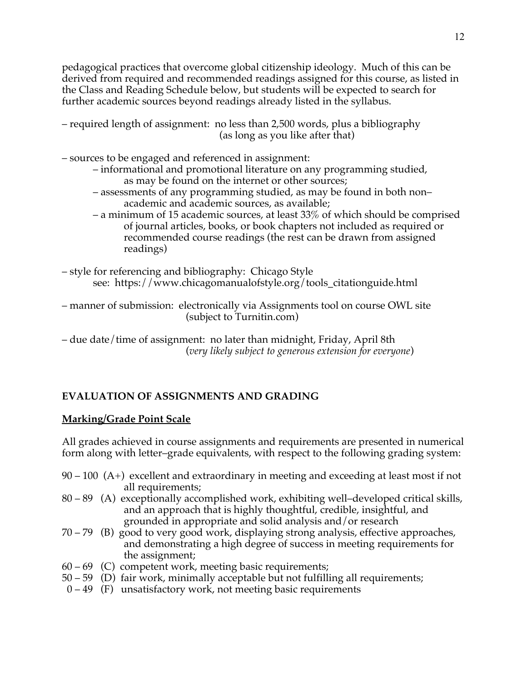pedagogical practices that overcome global citizenship ideology. Much of this can be derived from required and recommended readings assigned for this course, as listed in the Class and Reading Schedule below, but students will be expected to search for further academic sources beyond readings already listed in the syllabus.

- required length of assignment: no less than 2,500 words, plus a bibliography (as long as you like after that)
- sources to be engaged and referenced in assignment:
	- informational and promotional literature on any programming studied, as may be found on the internet or other sources;
	- assessments of any programming studied, as may be found in both non– academic and academic sources, as available;
	- a minimum of 15 academic sources, at least 33% of which should be comprised of journal articles, books, or book chapters not included as required or recommended course readings (the rest can be drawn from assigned readings)
- style for referencing and bibliography: Chicago Style see: https://www.chicagomanualofstyle.org/tools\_citationguide.html

– manner of submission: electronically via Assignments tool on course OWL site (subject to Turnitin.com)

– due date/time of assignment: no later than midnight, Friday, April 8th (*very likely subject to generous extension for everyone*)

# **EVALUATION OF ASSIGNMENTS AND GRADING**

# **Marking/Grade Point Scale**

All grades achieved in course assignments and requirements are presented in numerical form along with letter–grade equivalents, with respect to the following grading system:

- 90 100 (A+) excellent and extraordinary in meeting and exceeding at least most if not all requirements;
- 80 89 (A) exceptionally accomplished work, exhibiting well–developed critical skills, and an approach that is highly thoughtful, credible, insightful, and grounded in appropriate and solid analysis and/or research
- 70 79 (B) good to very good work, displaying strong analysis, effective approaches, and demonstrating a high degree of success in meeting requirements for the assignment;
- 60 69 (C) competent work, meeting basic requirements;
- 50 59 (D) fair work, minimally acceptable but not fulfilling all requirements;
- $0 49$  (F) unsatisfactory work, not meeting basic requirements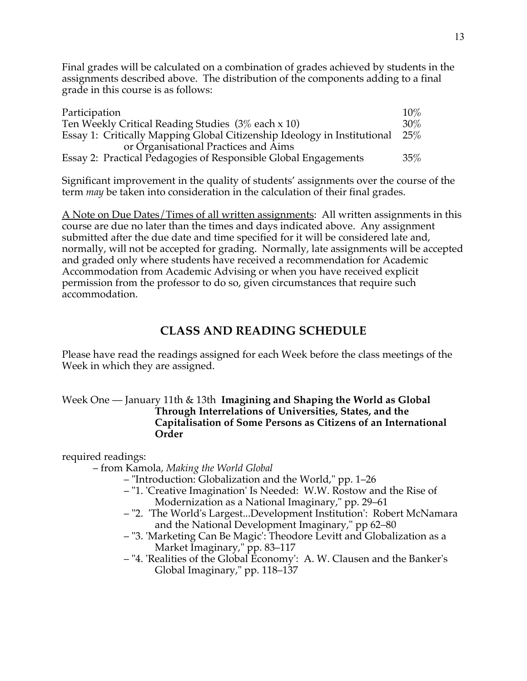Final grades will be calculated on a combination of grades achieved by students in the assignments described above. The distribution of the components adding to a final grade in this course is as follows:

| Participation                                                            | $10\%$ |
|--------------------------------------------------------------------------|--------|
| Ten Weekly Critical Reading Studies $(3\%$ each x 10)                    |        |
| Essay 1: Critically Mapping Global Citizenship Ideology in Institutional |        |
| or Organisational Practices and Aims                                     |        |
| Essay 2: Practical Pedagogies of Responsible Global Engagements          | $35\%$ |

Significant improvement in the quality of students' assignments over the course of the term *may* be taken into consideration in the calculation of their final grades.

A Note on Due Dates/Times of all written assignments: All written assignments in this course are due no later than the times and days indicated above. Any assignment submitted after the due date and time specified for it will be considered late and, normally, will not be accepted for grading. Normally, late assignments will be accepted and graded only where students have received a recommendation for Academic Accommodation from Academic Advising or when you have received explicit permission from the professor to do so, given circumstances that require such accommodation.

# **CLASS AND READING SCHEDULE**

Please have read the readings assigned for each Week before the class meetings of the Week in which they are assigned.

## Week One — January 11th & 13th **Imagining and Shaping the World as Global Through Interrelations of Universities, States, and the Capitalisation of Some Persons as Citizens of an International Order**

required readings:

– from Kamola, *Making the World Global*

- "Introduction: Globalization and the World," pp. 1–26
- "1. 'Creative Imagination' Is Needed: W.W. Rostow and the Rise of Modernization as a National Imaginary," pp. 29–61
- "2. 'The World's Largest...Development Institution': Robert McNamara and the National Development Imaginary," pp 62–80
- "3. 'Marketing Can Be Magic': Theodore Levitt and Globalization as a Market Imaginary," pp. 83–117
- "4. 'Realities of the Global Economy': A. W. Clausen and the Banker's Global Imaginary," pp. 118–137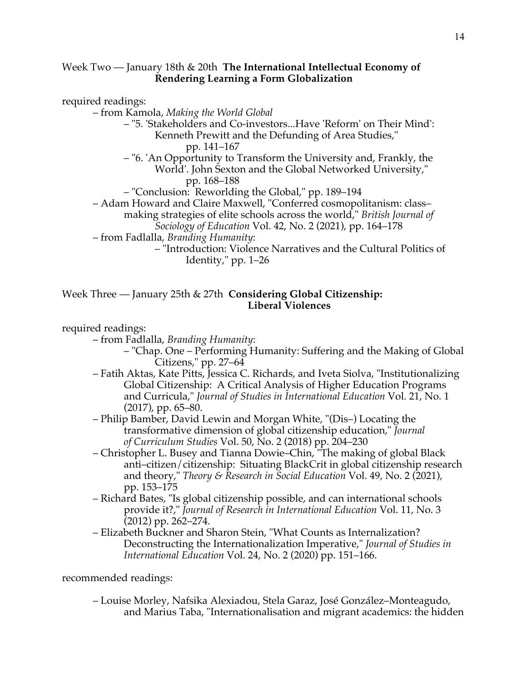### Week Two — January 18th & 20th **The International Intellectual Economy of Rendering Learning a Form Globalization**

required readings:

– from Kamola, *Making the World Global*

- "5. 'Stakeholders and Co-investors...Have 'Reform' on Their Mind': Kenneth Prewitt and the Defunding of Area Studies," pp. 141–167
- "6. 'An Opportunity to Transform the University and, Frankly, the World'. John Sexton and the Global Networked University," pp. 168–188
- "Conclusion: Reworlding the Global," pp. 189–194
- Adam Howard and Claire Maxwell, "Conferred cosmopolitanism: class–
	- making strategies of elite schools across the world," *British Journal of Sociology of Education* Vol. 42, No. 2 (2021), pp. 164–178
- from Fadlalla, *Branding Humanity*:
	- "Introduction: Violence Narratives and the Cultural Politics of Identity," pp. 1–26

### Week Three — January 25th & 27th **Considering Global Citizenship: Liberal Violences**

required readings:

– from Fadlalla, *Branding Humanity*:

- "Chap. One Performing Humanity: Suffering and the Making of Global Citizens," pp. 27–64
- Fatih Aktas, Kate Pitts, Jessica C. Richards, and Iveta Siolva, "Institutionalizing Global Citizenship: A Critical Analysis of Higher Education Programs and Curricula," *Journal of Studies in International Education* Vol. 21, No. 1 (2017), pp. 65–80.
- Philip Bamber, David Lewin and Morgan White, "(Dis–) Locating the transformative dimension of global citizenship education," *Journal of Curriculum Studies* Vol. 50, No. 2 (2018) pp. 204–230
- Christopher L. Busey and Tianna Dowie–Chin, "The making of global Black anti–citizen/citizenship: Situating BlackCrit in global citizenship research and theory," *Theory & Research in Social Education* Vol. 49, No. 2 (2021), pp. 153–175
- Richard Bates, "Is global citizenship possible, and can international schools provide it?," *Journal of Research in International Education* Vol. 11, No. 3 (2012) pp. 262–274.
- Elizabeth Buckner and Sharon Stein, "What Counts as Internalization? Deconstructing the Internationalization Imperative," *Journal of Studies in International Education* Vol. 24, No. 2 (2020) pp. 151–166.

recommended readings:

– Louise Morley, Nafsika Alexiadou, Stela Garaz, José González–Monteagudo, and Marius Taba, "Internationalisation and migrant academics: the hidden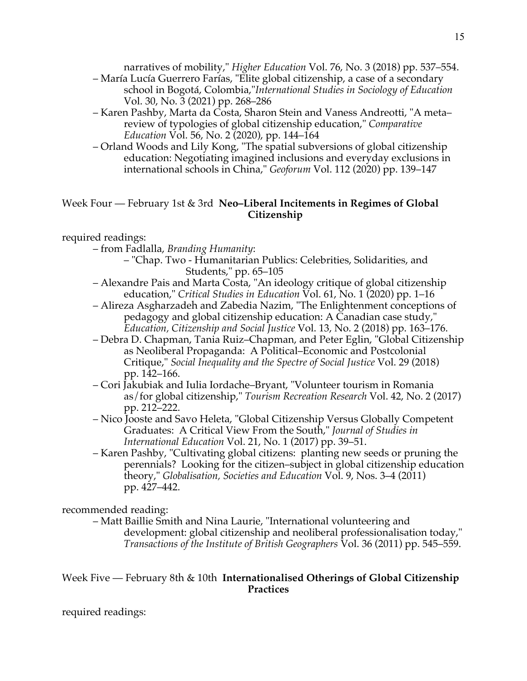narratives of mobility," *Higher Education* Vol. 76, No. 3 (2018) pp. 537–554.

- María Lucía Guerrero Farías, "Elite global citizenship, a case of a secondary school in Bogotá, Colombia,"*International Studies in Sociology of Education* Vol. 30, No. 3 (2021) pp. 268–286
- Karen Pashby, Marta da Costa, Sharon Stein and Vaness Andreotti, "A meta– review of typologies of global citizenship education," *Comparative Education* Vol. 56, No. 2 (2020), pp. 144–164
- Orland Woods and Lily Kong, "The spatial subversions of global citizenship education: Negotiating imagined inclusions and everyday exclusions in international schools in China," *Geoforum* Vol. 112 (2020) pp. 139–147

# Week Four — February 1st & 3rd **Neo–Liberal Incitements in Regimes of Global Citizenship**

# required readings:

- from Fadlalla, *Branding Humanity*:
	- "Chap. Two Humanitarian Publics: Celebrities, Solidarities, and Students," pp. 65–105
- Alexandre Pais and Marta Costa, "An ideology critique of global citizenship education," *Critical Studies in Education* Vol. 61, No. 1 (2020) pp. 1–16
- Alireza Asgharzadeh and Zabedia Nazim, "The Enlightenment conceptions of pedagogy and global citizenship education: A Canadian case study," *Education, Citizenship and Social Justice* Vol. 13, No. 2 (2018) pp. 163–176.
- Debra D. Chapman, Tania Ruiz–Chapman, and Peter Eglin, "Global Citizenship as Neoliberal Propaganda: A Political–Economic and Postcolonial Critique," *Social Inequality and the Spectre of Social Justice* Vol. 29 (2018) pp. 142–166.
- Cori Jakubiak and Iulia Iordache–Bryant, "Volunteer tourism in Romania as/for global citizenship," *Tourism Recreation Research* Vol. 42, No. 2 (2017) pp. 212–222.
- Nico Jooste and Savo Heleta, "Global Citizenship Versus Globally Competent Graduates: A Critical View From the South," *Journal of Studies in International Education* Vol. 21, No. 1 (2017) pp. 39–51.
- Karen Pashby, "Cultivating global citizens: planting new seeds or pruning the perennials? Looking for the citizen–subject in global citizenship education theory," *Globalisation, Societies and Education* Vol. 9, Nos. 3–4 (2011) pp. 427–442.

### recommended reading:

– Matt Baillie Smith and Nina Laurie, "International volunteering and development: global citizenship and neoliberal professionalisation today," *Transactions of the Institute of British Geographers* Vol. 36 (2011) pp. 545–559.

# Week Five — February 8th & 10th **Internationalised Otherings of Global Citizenship Practices**

required readings: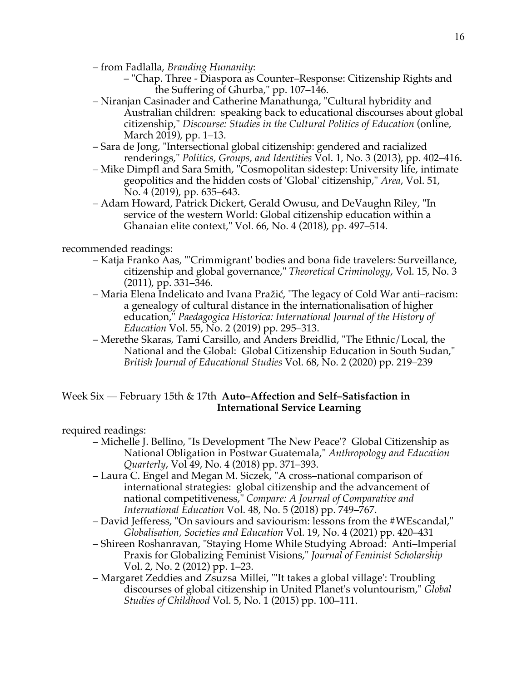- from Fadlalla, *Branding Humanity*:
	- "Chap. Three Diaspora as Counter–Response: Citizenship Rights and the Suffering of Ghurba," pp. 107–146.
- Niranjan Casinader and Catherine Manathunga, "Cultural hybridity and Australian children: speaking back to educational discourses about global citizenship," *Discourse: Studies in the Cultural Politics of Education* (online, March 2019), pp. 1–13.
- Sara de Jong, "Intersectional global citizenship: gendered and racialized renderings," *Politics, Groups, and Identities* Vol. 1, No. 3 (2013), pp. 402–416.
- Mike Dimpfl and Sara Smith, "Cosmopolitan sidestep: University life, intimate geopolitics and the hidden costs of 'Global' citizenship," *Area*, Vol. 51, No. 4 (2019), pp. 635–643.
- Adam Howard, Patrick Dickert, Gerald Owusu, and DeVaughn Riley, "In service of the western World: Global citizenship education within a Ghanaian elite context," Vol. 66, No. 4 (2018), pp. 497–514.

# recommended readings:

- Katja Franko Aas, "'Crimmigrant' bodies and bona fide travelers: Surveillance, citizenship and global governance," *Theoretical Criminology*, Vol. 15, No. 3 (2011), pp. 331–346.
- Maria Elena Indelicato and Ivana Pražić, "The legacy of Cold War anti–racism: a genealogy of cultural distance in the internationalisation of higher education," *Paedagogica Historica: International Journal of the History of Education* Vol. 55, No. 2 (2019) pp. 295–313.
- Merethe Skaras, Tami Carsillo, and Anders Breidlid, "The Ethnic/Local, the National and the Global: Global Citizenship Education in South Sudan," *British Journal of Educational Studies* Vol. 68, No. 2 (2020) pp. 219–239

# Week Six — February 15th & 17th **Auto–Affection and Self–Satisfaction in International Service Learning**

required readings:

- Michelle J. Bellino, "Is Development 'The New Peace'? Global Citizenship as National Obligation in Postwar Guatemala," *Anthropology and Education Quarterly*, Vol 49, No. 4 (2018) pp. 371–393.
- Laura C. Engel and Megan M. Siczek, "A cross–national comparison of international strategies: global citizenship and the advancement of national competitiveness," *Compare: A Journal of Comparative and International Education* Vol. 48, No. 5 (2018) pp. 749–767.
- David Jefferess, "On saviours and saviourism: lessons from the #WEscandal," *Globalisation, Societies and Education* Vol. 19, No. 4 (2021) pp. 420–431
- Shireen Roshanravan, "Staying Home While Studying Abroad: Anti–Imperial Praxis for Globalizing Feminist Visions," *Journal of Feminist Scholarship* Vol. 2, No. 2 (2012) pp. 1–23.
- Margaret Zeddies and Zsuzsa Millei, "'It takes a global village': Troubling discourses of global citizenship in United Planet's voluntourism," *Global Studies of Childhood* Vol. 5, No. 1 (2015) pp. 100–111.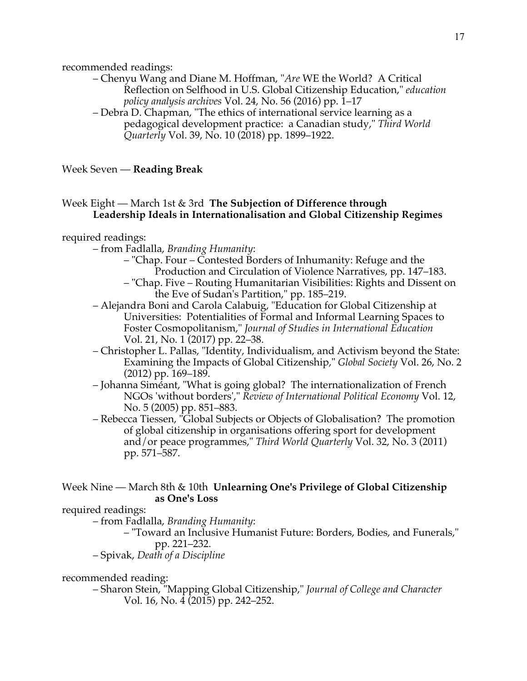recommended readings:

– Chenyu Wang and Diane M. Hoffman, "*Are* WE the World? A Critical Reflection on Selfhood in U.S. Global Citizenship Education," *education policy analysis archives* Vol. 24, No. 56 (2016) pp. 1–17

– Debra D. Chapman, "The ethics of international service learning as a pedagogical development practice: a Canadian study," *Third World Quarterly* Vol. 39, No. 10 (2018) pp. 1899–1922.

Week Seven — **Reading Break**

# Week Eight — March 1st & 3rd **The Subjection of Difference through Leadership Ideals in Internationalisation and Global Citizenship Regimes**

#### required readings:

- from Fadlalla, *Branding Humanity*:
	- "Chap. Four Contested Borders of Inhumanity: Refuge and the Production and Circulation of Violence Narratives, pp. 147–183.
	- "Chap. Five Routing Humanitarian Visibilities: Rights and Dissent on the Eve of Sudan's Partition," pp. 185–219.
- Alejandra Boni and Carola Calabuig, "Education for Global Citizenship at Universities: Potentialities of Formal and Informal Learning Spaces to Foster Cosmopolitanism," *Journal of Studies in International Education* Vol. 21, No. 1 (2017) pp. 22–38.
- Christopher L. Pallas, "Identity, Individualism, and Activism beyond the State: Examining the Impacts of Global Citizenship," *Global Society* Vol. 26, No. 2 (2012) pp. 169–189.
- Johanna Siméant, "What is going global? The internationalization of French NGOs 'without borders'," *Review of International Political Economy* Vol. 12, No. 5 (2005) pp. 851–883.
- Rebecca Tiessen, "Global Subjects or Objects of Globalisation? The promotion of global citizenship in organisations offering sport for development and/or peace programmes," *Third World Quarterly* Vol. 32, No. 3 (2011) pp. 571–587.

# Week Nine — March 8th & 10th **Unlearning One's Privilege of Global Citizenship as One's Loss**

#### required readings:

– from Fadlalla, *Branding Humanity*:

- "Toward an Inclusive Humanist Future: Borders, Bodies, and Funerals," pp. 221–232.
- Spivak, *Death of a Discipline*

recommended reading:

– Sharon Stein, "Mapping Global Citizenship," *Journal of College and Character* Vol. 16, No. 4 (2015) pp. 242–252.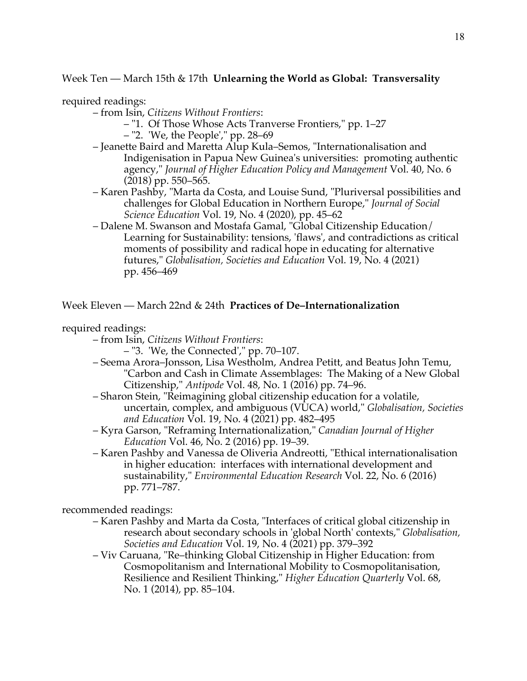Week Ten — March 15th & 17th **Unlearning the World as Global: Transversality**

required readings:

– from Isin, *Citizens Without Frontiers*:

- "1. Of Those Whose Acts Tranverse Frontiers," pp. 1–27
- "2. 'We, the People'," pp. 28–69
- Jeanette Baird and Maretta Alup Kula–Semos, "Internationalisation and Indigenisation in Papua New Guinea's universities: promoting authentic agency," *Journal of Higher Education Policy and Management* Vol. 40, No. 6 (2018) pp. 550–565.
- Karen Pashby, "Marta da Costa, and Louise Sund, "Pluriversal possibilities and challenges for Global Education in Northern Europe," *Journal of Social Science Education* Vol. 19, No. 4 (2020), pp. 45–62
- Dalene M. Swanson and Mostafa Gamal, "Global Citizenship Education/ Learning for Sustainability: tensions, 'flaws', and contradictions as critical moments of possibility and radical hope in educating for alternative futures," *Globalisation, Societies and Education* Vol. 19, No. 4 (2021) pp. 456–469

Week Eleven — March 22nd & 24th **Practices of De–Internationalization**

### required readings:

- from Isin, *Citizens Without Frontiers*:
	- "3. 'We, the Connected'," pp. 70–107.
- Seema Arora–Jonsson, Lisa Westholm, Andrea Petitt, and Beatus John Temu, "Carbon and Cash in Climate Assemblages: The Making of a New Global Citizenship," *Antipode* Vol. 48, No. 1 (2016) pp. 74–96.
- Sharon Stein, "Reimagining global citizenship education for a volatile, uncertain, complex, and ambiguous (VUCA) world," *Globalisation, Societies and Education* Vol. 19, No. 4 (2021) pp. 482–495
- Kyra Garson, "Reframing Internationalization," *Canadian Journal of Higher Education* Vol. 46, No. 2 (2016) pp. 19–39.
- Karen Pashby and Vanessa de Oliveria Andreotti, "Ethical internationalisation in higher education: interfaces with international development and sustainability," *Environmental Education Research* Vol. 22, No. 6 (2016) pp. 771–787.

recommended readings:

- Karen Pashby and Marta da Costa, "Interfaces of critical global citizenship in research about secondary schools in 'global North' contexts," *Globalisation, Societies and Education* Vol. 19, No. 4 (2021) pp. 379–392
- Viv Caruana, "Re–thinking Global Citizenship in Higher Education: from Cosmopolitanism and International Mobility to Cosmopolitanisation, Resilience and Resilient Thinking," *Higher Education Quarterly* Vol. 68, No. 1 (2014), pp. 85–104.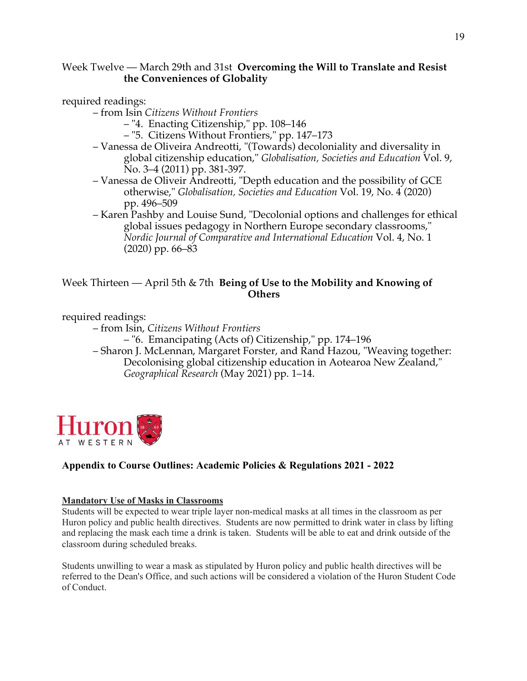# Week Twelve — March 29th and 31st **Overcoming the Will to Translate and Resist the Conveniences of Globality**

required readings:

– from Isin *Citizens Without Frontiers*

– "4. Enacting Citizenship," pp. 108–146

– "5. Citizens Without Frontiers," pp. 147–173

- Vanessa de Oliveira Andreotti, "(Towards) decoloniality and diversality in global citizenship education," *Globalisation, Societies and Education* Vol. 9, No. 3–4 (2011) pp. 381-397.
- Vanessa de Oliveir Andreotti, "Depth education and the possibility of GCE otherwise," *Globalisation, Societies and Education* Vol. 19, No. 4 (2020) pp. 496–509
- Karen Pashby and Louise Sund, "Decolonial options and challenges for ethical global issues pedagogy in Northern Europe secondary classrooms," *Nordic Journal of Comparative and International Education* Vol. 4, No. 1 (2020) pp. 66–83

# Week Thirteen — April 5th & 7th **Being of Use to the Mobility and Knowing of Others**

required readings:

– from Isin, *Citizens Without Frontiers*

– "6. Emancipating (Acts of) Citizenship," pp. 174–196

– Sharon J. McLennan, Margaret Forster, and Rand Hazou, "Weaving together: Decolonising global citizenship education in Aotearoa New Zealand," *Geographical Research* (May 2021) pp. 1–14.



# **Appendix to Course Outlines: Academic Policies & Regulations 2021 - 2022**

### **Mandatory Use of Masks in Classrooms**

Students will be expected to wear triple layer non-medical masks at all times in the classroom as per Huron policy and public health directives. Students are now permitted to drink water in class by lifting and replacing the mask each time a drink is taken. Students will be able to eat and drink outside of the classroom during scheduled breaks.

Students unwilling to wear a mask as stipulated by Huron policy and public health directives will be referred to the Dean's Office, and such actions will be considered a violation of the Huron Student Code of Conduct.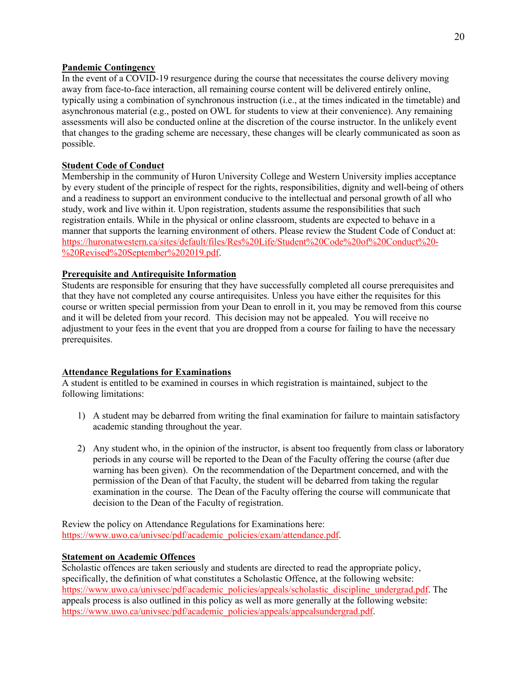#### **Pandemic Contingency**

In the event of a COVID-19 resurgence during the course that necessitates the course delivery moving away from face-to-face interaction, all remaining course content will be delivered entirely online, typically using a combination of synchronous instruction (i.e., at the times indicated in the timetable) and asynchronous material (e.g., posted on OWL for students to view at their convenience). Any remaining assessments will also be conducted online at the discretion of the course instructor. In the unlikely event that changes to the grading scheme are necessary, these changes will be clearly communicated as soon as possible.

#### **Student Code of Conduct**

Membership in the community of Huron University College and Western University implies acceptance by every student of the principle of respect for the rights, responsibilities, dignity and well-being of others and a readiness to support an environment conducive to the intellectual and personal growth of all who study, work and live within it. Upon registration, students assume the responsibilities that such registration entails. While in the physical or online classroom, students are expected to behave in a manner that supports the learning environment of others. Please review the Student Code of Conduct at: https://huronatwestern.ca/sites/default/files/Res%20Life/Student%20Code%20of%20Conduct%20- %20Revised%20September%202019.pdf.

#### **Prerequisite and Antirequisite Information**

Students are responsible for ensuring that they have successfully completed all course prerequisites and that they have not completed any course antirequisites. Unless you have either the requisites for this course or written special permission from your Dean to enroll in it, you may be removed from this course and it will be deleted from your record. This decision may not be appealed. You will receive no adjustment to your fees in the event that you are dropped from a course for failing to have the necessary prerequisites.

#### **Attendance Regulations for Examinations**

A student is entitled to be examined in courses in which registration is maintained, subject to the following limitations:

- 1) A student may be debarred from writing the final examination for failure to maintain satisfactory academic standing throughout the year.
- 2) Any student who, in the opinion of the instructor, is absent too frequently from class or laboratory periods in any course will be reported to the Dean of the Faculty offering the course (after due warning has been given). On the recommendation of the Department concerned, and with the permission of the Dean of that Faculty, the student will be debarred from taking the regular examination in the course. The Dean of the Faculty offering the course will communicate that decision to the Dean of the Faculty of registration.

Review the policy on Attendance Regulations for Examinations here: https://www.uwo.ca/univsec/pdf/academic\_policies/exam/attendance.pdf.

#### **Statement on Academic Offences**

Scholastic offences are taken seriously and students are directed to read the appropriate policy, specifically, the definition of what constitutes a Scholastic Offence, at the following website: https://www.uwo.ca/univsec/pdf/academic\_policies/appeals/scholastic\_discipline\_undergrad.pdf. The appeals process is also outlined in this policy as well as more generally at the following website: https://www.uwo.ca/univsec/pdf/academic\_policies/appeals/appealsundergrad.pdf.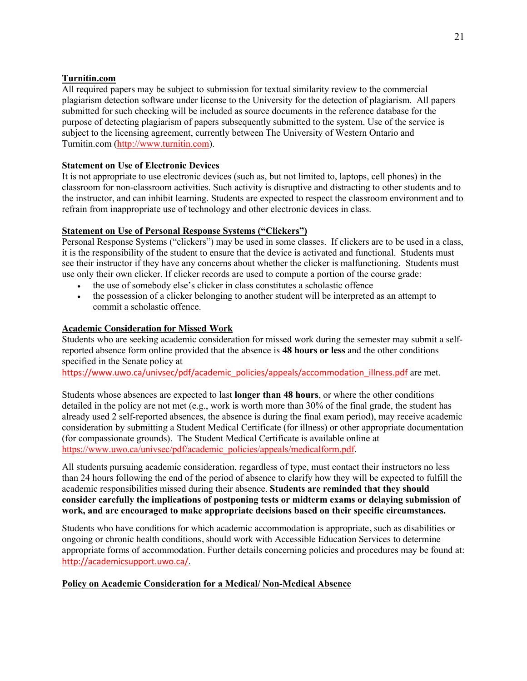### **Turnitin.com**

All required papers may be subject to submission for textual similarity review to the commercial plagiarism detection software under license to the University for the detection of plagiarism. All papers submitted for such checking will be included as source documents in the reference database for the purpose of detecting plagiarism of papers subsequently submitted to the system. Use of the service is subject to the licensing agreement, currently between The University of Western Ontario and Turnitin.com (http://www.turnitin.com).

### **Statement on Use of Electronic Devices**

It is not appropriate to use electronic devices (such as, but not limited to, laptops, cell phones) in the classroom for non-classroom activities. Such activity is disruptive and distracting to other students and to the instructor, and can inhibit learning. Students are expected to respect the classroom environment and to refrain from inappropriate use of technology and other electronic devices in class.

#### **Statement on Use of Personal Response Systems ("Clickers")**

Personal Response Systems ("clickers") may be used in some classes. If clickers are to be used in a class, it is the responsibility of the student to ensure that the device is activated and functional. Students must see their instructor if they have any concerns about whether the clicker is malfunctioning. Students must use only their own clicker. If clicker records are used to compute a portion of the course grade:

- the use of somebody else's clicker in class constitutes a scholastic offence
- the possession of a clicker belonging to another student will be interpreted as an attempt to commit a scholastic offence.

#### **Academic Consideration for Missed Work**

Students who are seeking academic consideration for missed work during the semester may submit a selfreported absence form online provided that the absence is **48 hours or less** and the other conditions specified in the Senate policy at

https://www.uwo.ca/univsec/pdf/academic\_policies/appeals/accommodation\_illness.pdf are met.

Students whose absences are expected to last **longer than 48 hours**, or where the other conditions detailed in the policy are not met (e.g., work is worth more than 30% of the final grade, the student has already used 2 self-reported absences, the absence is during the final exam period), may receive academic consideration by submitting a Student Medical Certificate (for illness) or other appropriate documentation (for compassionate grounds). The Student Medical Certificate is available online at https://www.uwo.ca/univsec/pdf/academic\_policies/appeals/medicalform.pdf.

All students pursuing academic consideration, regardless of type, must contact their instructors no less than 24 hours following the end of the period of absence to clarify how they will be expected to fulfill the academic responsibilities missed during their absence. **Students are reminded that they should consider carefully the implications of postponing tests or midterm exams or delaying submission of work, and are encouraged to make appropriate decisions based on their specific circumstances.**

Students who have conditions for which academic accommodation is appropriate, such as disabilities or ongoing or chronic health conditions, should work with Accessible Education Services to determine appropriate forms of accommodation. Further details concerning policies and procedures may be found at: http://academicsupport.uwo.ca/.

#### **Policy on Academic Consideration for a Medical/ Non-Medical Absence**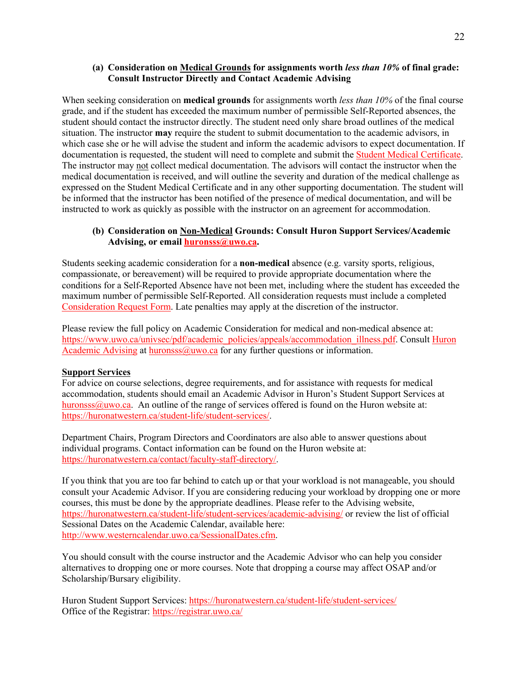#### **(a) Consideration on Medical Grounds for assignments worth** *less than 10%* **of final grade: Consult Instructor Directly and Contact Academic Advising**

When seeking consideration on **medical grounds** for assignments worth *less than 10%* of the final course grade, and if the student has exceeded the maximum number of permissible Self-Reported absences, the student should contact the instructor directly. The student need only share broad outlines of the medical situation. The instructor **may** require the student to submit documentation to the academic advisors, in which case she or he will advise the student and inform the academic advisors to expect documentation. If documentation is requested, the student will need to complete and submit the Student Medical Certificate. The instructor may not collect medical documentation. The advisors will contact the instructor when the medical documentation is received, and will outline the severity and duration of the medical challenge as expressed on the Student Medical Certificate and in any other supporting documentation. The student will be informed that the instructor has been notified of the presence of medical documentation, and will be instructed to work as quickly as possible with the instructor on an agreement for accommodation.

#### **(b) Consideration on Non-Medical Grounds: Consult Huron Support Services/Academic Advising, or email huronsss@uwo.ca.**

Students seeking academic consideration for a **non-medical** absence (e.g. varsity sports, religious, compassionate, or bereavement) will be required to provide appropriate documentation where the conditions for a Self-Reported Absence have not been met, including where the student has exceeded the maximum number of permissible Self-Reported. All consideration requests must include a completed Consideration Request Form. Late penalties may apply at the discretion of the instructor.

Please review the full policy on Academic Consideration for medical and non-medical absence at: https://www.uwo.ca/univsec/pdf/academic\_policies/appeals/accommodation\_illness.pdf. Consult Huron Academic Advising at huronsss@uwo.ca for any further questions or information.

#### **Support Services**

For advice on course selections, degree requirements, and for assistance with requests for medical accommodation, students should email an Academic Advisor in Huron's Student Support Services at huronsss $@uwo.ca.$  An outline of the range of services offered is found on the Huron website at: https://huronatwestern.ca/student-life/student-services/.

Department Chairs, Program Directors and Coordinators are also able to answer questions about individual programs. Contact information can be found on the Huron website at: https://huronatwestern.ca/contact/faculty-staff-directory/.

If you think that you are too far behind to catch up or that your workload is not manageable, you should consult your Academic Advisor. If you are considering reducing your workload by dropping one or more courses, this must be done by the appropriate deadlines. Please refer to the Advising website, https://huronatwestern.ca/student-life/student-services/academic-advising/ or review the list of official Sessional Dates on the Academic Calendar, available here: http://www.westerncalendar.uwo.ca/SessionalDates.cfm.

You should consult with the course instructor and the Academic Advisor who can help you consider alternatives to dropping one or more courses. Note that dropping a course may affect OSAP and/or Scholarship/Bursary eligibility.

Huron Student Support Services: https://huronatwestern.ca/student-life/student-services/ Office of the Registrar: https://registrar.uwo.ca/